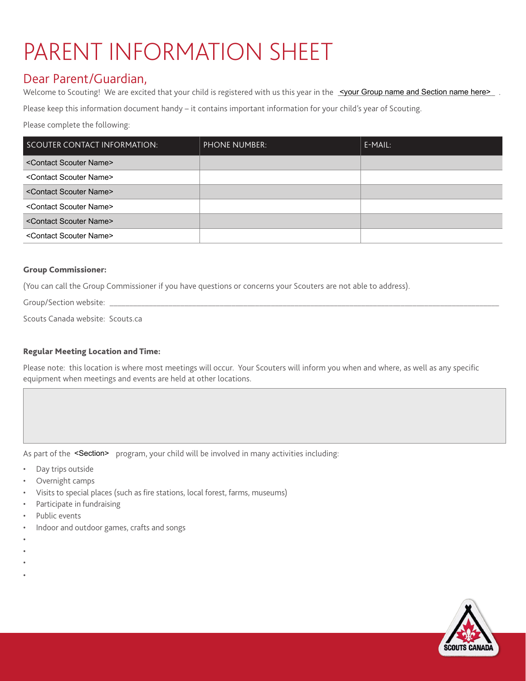## PARENT INFORMATION SHEET

## Dear Parent/Guardian,

Welcome to Scouting! We are excited that your child is registered with us this year in the syour Group name and Section name here>

| Welcome to Scouting! We are excited that your child is registered with us this year in the $\leq$ your Group name and Section name here>. |                      |           |
|-------------------------------------------------------------------------------------------------------------------------------------------|----------------------|-----------|
| Please keep this information document handy $-$ it contains important information for your child's year of Scouting.                      |                      |           |
| Please complete the following:                                                                                                            |                      |           |
| SCOUTER CONTACT INFORMATION:                                                                                                              | <b>PHONE NUMBER:</b> | $E-MAIL:$ |
| <contact name="" scouter=""></contact>                                                                                                    |                      |           |
| <contact name="" scouter=""></contact>                                                                                                    |                      |           |
| <contact name="" scouter=""></contact>                                                                                                    |                      |           |
| <contact name="" scouter=""></contact>                                                                                                    |                      |           |
| <contact name="" scouter=""></contact>                                                                                                    |                      |           |
| <contact name="" scouter=""></contact>                                                                                                    |                      |           |

## Group Commissioner:

(You can call the Group Commissioner if you have questions or concerns your Scouters are not able to address).

Group/Section website:

Scouts Canada website: [Scouts.ca](http://www.scouts.ca)

## Regular Meeting Location and Time:

Please note: this location is where most meetings will occur. Your Scouters will inform you when and where, as well as any specific equipment when meetings and events are held at other locations.

As part of the <Section> program, your child will be involved in many activities including:

- Day trips outside
- Overnight camps
- Visits to special places (such as fire stations, local forest, farms, museums)
- Participate in fundraising
- Public events
- Indoor and outdoor games, crafts and songs
- •
- •
- •
- •